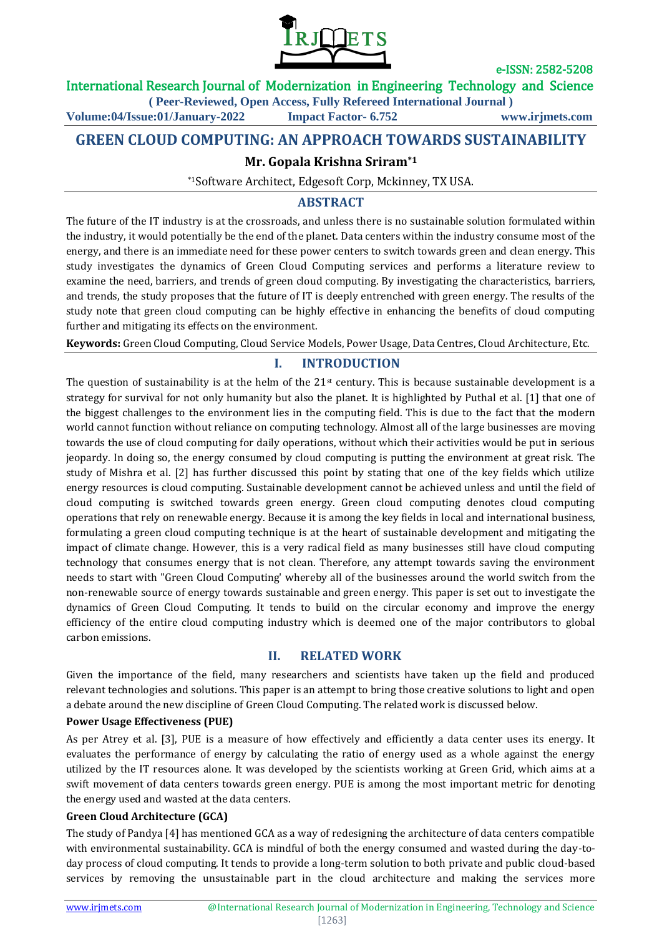

## International Research Journal of Modernization in Engineering Technology and Science

**( Peer-Reviewed, Open Access, Fully Refereed International Journal )**

**Volume:04/Issue:01/January-2022 Impact Factor- 6.752 www.irjmets.com**

# **GREEN CLOUD COMPUTING: AN APPROACH TOWARDS SUSTAINABILITY**

## **Mr. Gopala Krishna Sriram\*1**

\*1Software Architect, Edgesoft Corp, Mckinney, TX USA.

## **ABSTRACT**

The future of the IT industry is at the crossroads, and unless there is no sustainable solution formulated within the industry, it would potentially be the end of the planet. Data centers within the industry consume most of the energy, and there is an immediate need for these power centers to switch towards green and clean energy. This study investigates the dynamics of Green Cloud Computing services and performs a literature review to examine the need, barriers, and trends of green cloud computing. By investigating the characteristics, barriers, and trends, the study proposes that the future of IT is deeply entrenched with green energy. The results of the study note that green cloud computing can be highly effective in enhancing the benefits of cloud computing further and mitigating its effects on the environment.

**Keywords:** Green Cloud Computing, Cloud Service Models, Power Usage, Data Centres, Cloud Architecture, Etc.

## **I. INTRODUCTION**

The question of sustainability is at the helm of the  $21<sup>st</sup>$  century. This is because sustainable development is a strategy for survival for not only humanity but also the planet. It is highlighted by Puthal et al. [1] that one of the biggest challenges to the environment lies in the computing field. This is due to the fact that the modern world cannot function without reliance on computing technology. Almost all of the large businesses are moving towards the use of cloud computing for daily operations, without which their activities would be put in serious jeopardy. In doing so, the energy consumed by cloud computing is putting the environment at great risk. The study of Mishra et al. [2] has further discussed this point by stating that one of the key fields which utilize energy resources is cloud computing. Sustainable development cannot be achieved unless and until the field of cloud computing is switched towards green energy. Green cloud computing denotes cloud computing operations that rely on renewable energy. Because it is among the key fields in local and international business, formulating a green cloud computing technique is at the heart of sustainable development and mitigating the impact of climate change. However, this is a very radical field as many businesses still have cloud computing technology that consumes energy that is not clean. Therefore, any attempt towards saving the environment needs to start with "Green Cloud Computing' whereby all of the businesses around the world switch from the non-renewable source of energy towards sustainable and green energy. This paper is set out to investigate the dynamics of Green Cloud Computing. It tends to build on the circular economy and improve the energy efficiency of the entire cloud computing industry which is deemed one of the major contributors to global carbon emissions.

### **II. RELATED WORK**

Given the importance of the field, many researchers and scientists have taken up the field and produced relevant technologies and solutions. This paper is an attempt to bring those creative solutions to light and open a debate around the new discipline of Green Cloud Computing. The related work is discussed below.

#### **Power Usage Effectiveness (PUE)**

As per Atrey et al. [3], PUE is a measure of how effectively and efficiently a data center uses its energy. It evaluates the performance of energy by calculating the ratio of energy used as a whole against the energy utilized by the IT resources alone. It was developed by the scientists working at Green Grid, which aims at a swift movement of data centers towards green energy. PUE is among the most important metric for denoting the energy used and wasted at the data centers.

### **Green Cloud Architecture (GCA)**

The study of Pandya [4] has mentioned GCA as a way of redesigning the architecture of data centers compatible with environmental sustainability. GCA is mindful of both the energy consumed and wasted during the day-today process of cloud computing. It tends to provide a long-term solution to both private and public cloud-based services by removing the unsustainable part in the cloud architecture and making the services more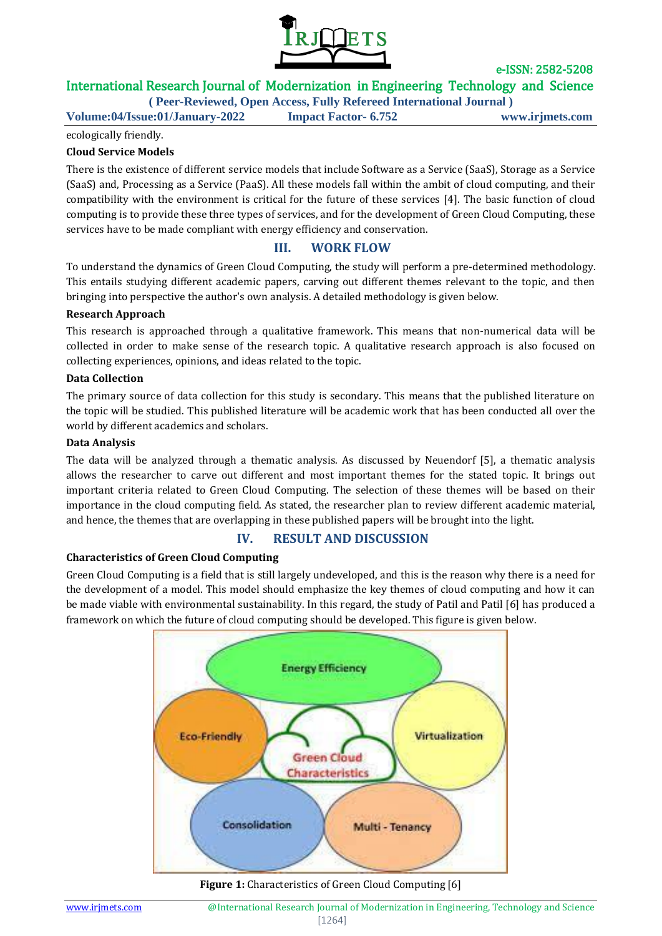

## International Research Journal of Modernization in Engineering Technology and Science

**( Peer-Reviewed, Open Access, Fully Refereed International Journal )**

**Volume:04/Issue:01/January-2022 Impact Factor- 6.752 www.irjmets.com**

ecologically friendly.

### **Cloud Service Models**

There is the existence of different service models that include Software as a Service (SaaS), Storage as a Service (SaaS) and, Processing as a Service (PaaS). All these models fall within the ambit of cloud computing, and their compatibility with the environment is critical for the future of these services [4]. The basic function of cloud computing is to provide these three types of services, and for the development of Green Cloud Computing, these services have to be made compliant with energy efficiency and conservation.

### **III. WORK FLOW**

To understand the dynamics of Green Cloud Computing, the study will perform a pre-determined methodology. This entails studying different academic papers, carving out different themes relevant to the topic, and then bringing into perspective the author's own analysis. A detailed methodology is given below.

### **Research Approach**

This research is approached through a qualitative framework. This means that non-numerical data will be collected in order to make sense of the research topic. A qualitative research approach is also focused on collecting experiences, opinions, and ideas related to the topic.

### **Data Collection**

The primary source of data collection for this study is secondary. This means that the published literature on the topic will be studied. This published literature will be academic work that has been conducted all over the world by different academics and scholars.

### **Data Analysis**

The data will be analyzed through a thematic analysis. As discussed by Neuendorf [5], a thematic analysis allows the researcher to carve out different and most important themes for the stated topic. It brings out important criteria related to Green Cloud Computing. The selection of these themes will be based on their importance in the cloud computing field. As stated, the researcher plan to review different academic material, and hence, the themes that are overlapping in these published papers will be brought into the light.

### **IV. RESULT AND DISCUSSION**

#### **Characteristics of Green Cloud Computing**

Green Cloud Computing is a field that is still largely undeveloped, and this is the reason why there is a need for the development of a model. This model should emphasize the key themes of cloud computing and how it can be made viable with environmental sustainability. In this regard, the study of Patil and Patil [6] has produced a framework on which the future of cloud computing should be developed. This figure is given below.



**Figure 1:** Characteristics of Green Cloud Computing [6]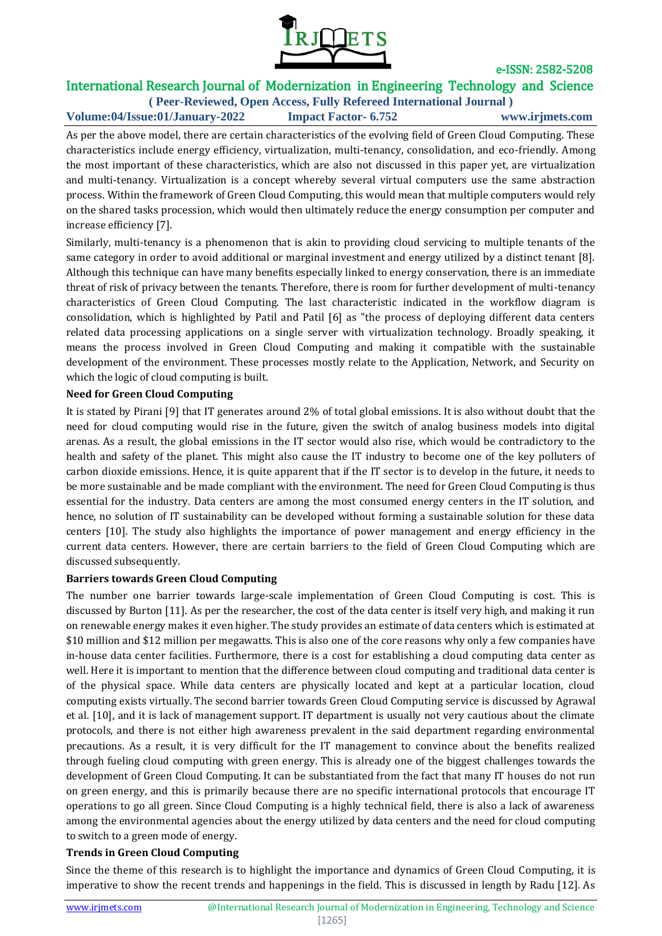

# International Research Journal of Modernization in Engineering Technology and Science

**( Peer-Reviewed, Open Access, Fully Refereed International Journal ) Volume:04/Issue:01/January-2022 Impact Factor- 6.752 www.irjmets.com**

As per the above model, there are certain characteristics of the evolving field of Green Cloud Computing. These characteristics include energy efficiency, virtualization, multi-tenancy, consolidation, and eco-friendly. Among the most important of these characteristics, which are also not discussed in this paper yet, are virtualization and multi-tenancy. Virtualization is a concept whereby several virtual computers use the same abstraction process. Within the framework of Green Cloud Computing, this would mean that multiple computers would rely on the shared tasks procession, which would then ultimately reduce the energy consumption per computer and increase efficiency [7].

Similarly, multi-tenancy is a phenomenon that is akin to providing cloud servicing to multiple tenants of the same category in order to avoid additional or marginal investment and energy utilized by a distinct tenant [8]. Although this technique can have many benefits especially linked to energy conservation, there is an immediate threat of risk of privacy between the tenants. Therefore, there is room for further development of multi-tenancy characteristics of Green Cloud Computing. The last characteristic indicated in the workflow diagram is consolidation, which is highlighted by Patil and Patil [6] as "the process of deploying different data centers related data processing applications on a single server with virtualization technology. Broadly speaking, it means the process involved in Green Cloud Computing and making it compatible with the sustainable development of the environment. These processes mostly relate to the Application, Network, and Security on which the logic of cloud computing is built.

### **Need for Green Cloud Computing**

It is stated by Pirani [9] that IT generates around 2% of total global emissions. It is also without doubt that the need for cloud computing would rise in the future, given the switch of analog business models into digital arenas. As a result, the global emissions in the IT sector would also rise, which would be contradictory to the health and safety of the planet. This might also cause the IT industry to become one of the key polluters of carbon dioxide emissions. Hence, it is quite apparent that if the IT sector is to develop in the future, it needs to be more sustainable and be made compliant with the environment. The need for Green Cloud Computing is thus essential for the industry. Data centers are among the most consumed energy centers in the IT solution, and hence, no solution of IT sustainability can be developed without forming a sustainable solution for these data centers [10]. The study also highlights the importance of power management and energy efficiency in the current data centers. However, there are certain barriers to the field of Green Cloud Computing which are discussed subsequently.

#### **Barriers towards Green Cloud Computing**

The number one barrier towards large-scale implementation of Green Cloud Computing is cost. This is discussed by Burton [11]. As per the researcher, the cost of the data center is itself very high, and making it run on renewable energy makes it even higher. The study provides an estimate of data centers which is estimated at \$10 million and \$12 million per megawatts. This is also one of the core reasons why only a few companies have in-house data center facilities. Furthermore, there is a cost for establishing a cloud computing data center as well. Here it is important to mention that the difference between cloud computing and traditional data center is of the physical space. While data centers are physically located and kept at a particular location, cloud computing exists virtually. The second barrier towards Green Cloud Computing service is discussed by Agrawal et al. [10], and it is lack of management support. IT department is usually not very cautious about the climate protocols, and there is not either high awareness prevalent in the said department regarding environmental precautions. As a result, it is very difficult for the IT management to convince about the benefits realized through fueling cloud computing with green energy. This is already one of the biggest challenges towards the development of Green Cloud Computing. It can be substantiated from the fact that many IT houses do not run on green energy, and this is primarily because there are no specific international protocols that encourage IT operations to go all green. Since Cloud Computing is a highly technical field, there is also a lack of awareness among the environmental agencies about the energy utilized by data centers and the need for cloud computing to switch to a green mode of energy.

### **Trends in Green Cloud Computing**

Since the theme of this research is to highlight the importance and dynamics of Green Cloud Computing, it is imperative to show the recent trends and happenings in the field. This is discussed in length by Radu [12]. As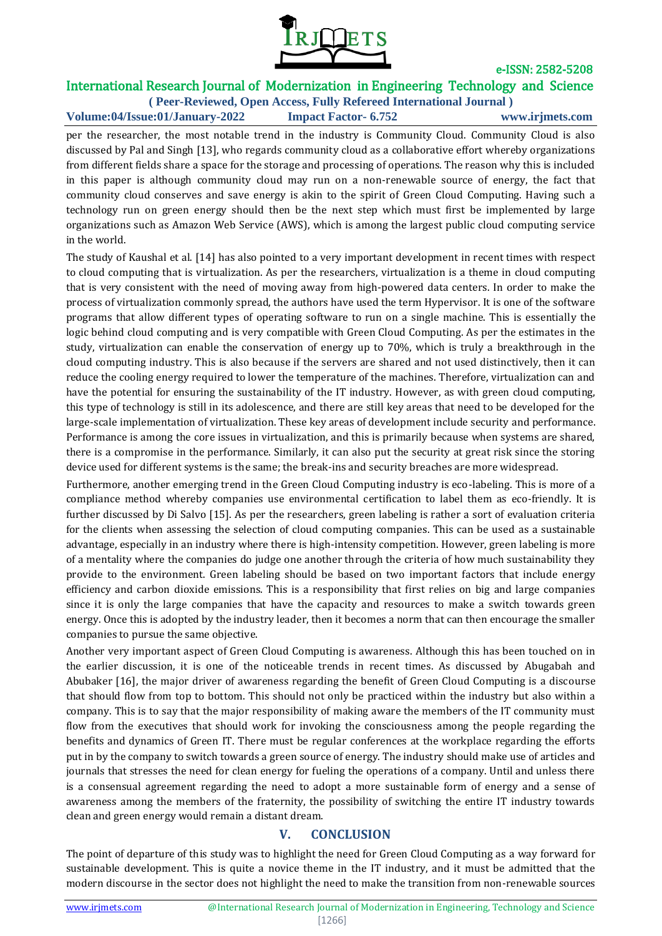

## International Research Journal of Modernization in Engineering Technology and Science

**( Peer-Reviewed, Open Access, Fully Refereed International Journal ) Volume:04/Issue:01/January-2022 Impact Factor- 6.752 www.irjmets.com**

per the researcher, the most notable trend in the industry is Community Cloud. Community Cloud is also discussed by Pal and Singh [13], who regards community cloud as a collaborative effort whereby organizations from different fields share a space for the storage and processing of operations. The reason why this is included in this paper is although community cloud may run on a non-renewable source of energy, the fact that community cloud conserves and save energy is akin to the spirit of Green Cloud Computing. Having such a technology run on green energy should then be the next step which must first be implemented by large organizations such as Amazon Web Service (AWS), which is among the largest public cloud computing service in the world.

The study of Kaushal et al. [14] has also pointed to a very important development in recent times with respect to cloud computing that is virtualization. As per the researchers, virtualization is a theme in cloud computing that is very consistent with the need of moving away from high-powered data centers. In order to make the process of virtualization commonly spread, the authors have used the term Hypervisor. It is one of the software programs that allow different types of operating software to run on a single machine. This is essentially the logic behind cloud computing and is very compatible with Green Cloud Computing. As per the estimates in the study, virtualization can enable the conservation of energy up to 70%, which is truly a breakthrough in the cloud computing industry. This is also because if the servers are shared and not used distinctively, then it can reduce the cooling energy required to lower the temperature of the machines. Therefore, virtualization can and have the potential for ensuring the sustainability of the IT industry. However, as with green cloud computing, this type of technology is still in its adolescence, and there are still key areas that need to be developed for the large-scale implementation of virtualization. These key areas of development include security and performance. Performance is among the core issues in virtualization, and this is primarily because when systems are shared, there is a compromise in the performance. Similarly, it can also put the security at great risk since the storing device used for different systems is the same; the break-ins and security breaches are more widespread.

Furthermore, another emerging trend in the Green Cloud Computing industry is eco-labeling. This is more of a compliance method whereby companies use environmental certification to label them as eco-friendly. It is further discussed by Di Salvo [15]. As per the researchers, green labeling is rather a sort of evaluation criteria for the clients when assessing the selection of cloud computing companies. This can be used as a sustainable advantage, especially in an industry where there is high-intensity competition. However, green labeling is more of a mentality where the companies do judge one another through the criteria of how much sustainability they provide to the environment. Green labeling should be based on two important factors that include energy efficiency and carbon dioxide emissions. This is a responsibility that first relies on big and large companies since it is only the large companies that have the capacity and resources to make a switch towards green energy. Once this is adopted by the industry leader, then it becomes a norm that can then encourage the smaller companies to pursue the same objective.

Another very important aspect of Green Cloud Computing is awareness. Although this has been touched on in the earlier discussion, it is one of the noticeable trends in recent times. As discussed by Abugabah and Abubaker [16], the major driver of awareness regarding the benefit of Green Cloud Computing is a discourse that should flow from top to bottom. This should not only be practiced within the industry but also within a company. This is to say that the major responsibility of making aware the members of the IT community must flow from the executives that should work for invoking the consciousness among the people regarding the benefits and dynamics of Green IT. There must be regular conferences at the workplace regarding the efforts put in by the company to switch towards a green source of energy. The industry should make use of articles and journals that stresses the need for clean energy for fueling the operations of a company. Until and unless there is a consensual agreement regarding the need to adopt a more sustainable form of energy and a sense of awareness among the members of the fraternity, the possibility of switching the entire IT industry towards clean and green energy would remain a distant dream.

## **V. CONCLUSION**

The point of departure of this study was to highlight the need for Green Cloud Computing as a way forward for sustainable development. This is quite a novice theme in the IT industry, and it must be admitted that the modern discourse in the sector does not highlight the need to make the transition from non-renewable sources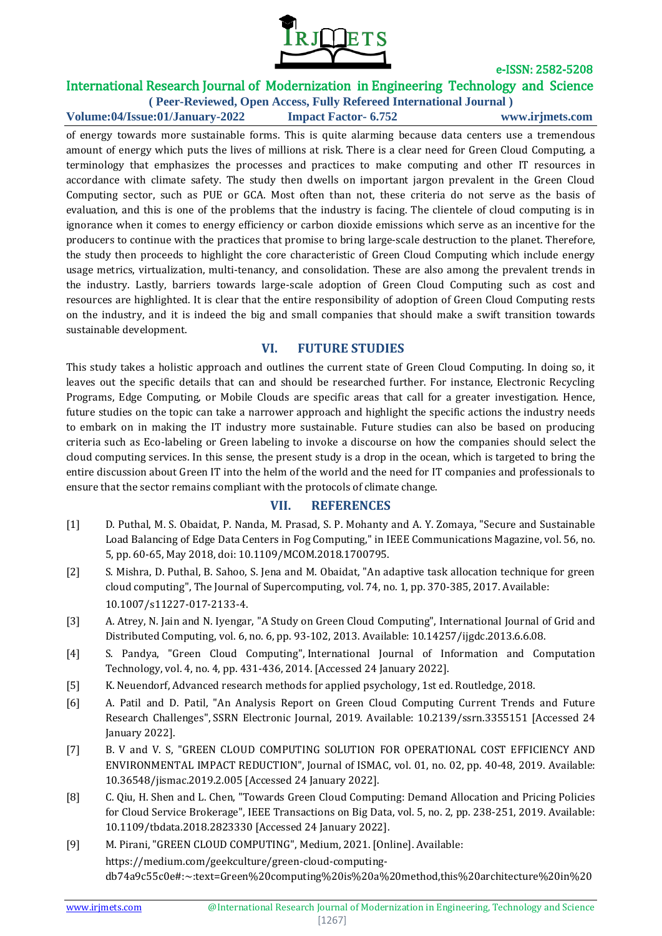

# International Research Journal of Modernization in Engineering Technology and Science

**( Peer-Reviewed, Open Access, Fully Refereed International Journal ) Volume:04/Issue:01/January-2022 Impact Factor- 6.752 www.irjmets.com**

of energy towards more sustainable forms. This is quite alarming because data centers use a tremendous amount of energy which puts the lives of millions at risk. There is a clear need for Green Cloud Computing, a terminology that emphasizes the processes and practices to make computing and other IT resources in accordance with climate safety. The study then dwells on important jargon prevalent in the Green Cloud Computing sector, such as PUE or GCA. Most often than not, these criteria do not serve as the basis of evaluation, and this is one of the problems that the industry is facing. The clientele of cloud computing is in ignorance when it comes to energy efficiency or carbon dioxide emissions which serve as an incentive for the producers to continue with the practices that promise to bring large-scale destruction to the planet. Therefore, the study then proceeds to highlight the core characteristic of Green Cloud Computing which include energy usage metrics, virtualization, multi-tenancy, and consolidation. These are also among the prevalent trends in the industry. Lastly, barriers towards large-scale adoption of Green Cloud Computing such as cost and resources are highlighted. It is clear that the entire responsibility of adoption of Green Cloud Computing rests on the industry, and it is indeed the big and small companies that should make a swift transition towards sustainable development.

## **VI. FUTURE STUDIES**

This study takes a holistic approach and outlines the current state of Green Cloud Computing. In doing so, it leaves out the specific details that can and should be researched further. For instance, Electronic Recycling Programs, Edge Computing, or Mobile Clouds are specific areas that call for a greater investigation. Hence, future studies on the topic can take a narrower approach and highlight the specific actions the industry needs to embark on in making the IT industry more sustainable. Future studies can also be based on producing criteria such as Eco-labeling or Green labeling to invoke a discourse on how the companies should select the cloud computing services. In this sense, the present study is a drop in the ocean, which is targeted to bring the entire discussion about Green IT into the helm of the world and the need for IT companies and professionals to ensure that the sector remains compliant with the protocols of climate change.

## **VII. REFERENCES**

- [1] D. Puthal, M. S. Obaidat, P. Nanda, M. Prasad, S. P. Mohanty and A. Y. Zomaya, "Secure and Sustainable Load Balancing of Edge Data Centers in Fog Computing," in IEEE Communications Magazine, vol. 56, no. 5, pp. 60-65, May 2018, doi: 10.1109/MCOM.2018.1700795.
- [2] S. Mishra, D. Puthal, B. Sahoo, S. Jena and M. Obaidat, "An adaptive task allocation technique for green cloud computing", The Journal of Supercomputing, vol. 74, no. 1, pp. 370-385, 2017. Available: 10.1007/s11227-017-2133-4.
- [3] A. Atrey, N. Jain and N. Iyengar, "A Study on Green Cloud Computing", International Journal of Grid and Distributed Computing, vol. 6, no. 6, pp. 93-102, 2013. Available: 10.14257/ijgdc.2013.6.6.08.
- [4] S. Pandya, "Green Cloud Computing", International Journal of Information and Computation Technology, vol. 4, no. 4, pp. 431-436, 2014. [Accessed 24 January 2022].
- [5] K. Neuendorf, Advanced research methods for applied psychology, 1st ed. Routledge, 2018.
- [6] A. Patil and D. Patil, "An Analysis Report on Green Cloud Computing Current Trends and Future Research Challenges", SSRN Electronic Journal, 2019. Available: 10.2139/ssrn.3355151 [Accessed 24 January 2022].
- [7] B. V and V. S, "GREEN CLOUD COMPUTING SOLUTION FOR OPERATIONAL COST EFFICIENCY AND ENVIRONMENTAL IMPACT REDUCTION", Journal of ISMAC, vol. 01, no. 02, pp. 40-48, 2019. Available: 10.36548/jismac.2019.2.005 [Accessed 24 January 2022].
- [8] C. Qiu, H. Shen and L. Chen, "Towards Green Cloud Computing: Demand Allocation and Pricing Policies for Cloud Service Brokerage", IEEE Transactions on Big Data, vol. 5, no. 2, pp. 238-251, 2019. Available: 10.1109/tbdata.2018.2823330 [Accessed 24 January 2022].
- [9] M. Pirani, "GREEN CLOUD COMPUTING", Medium, 2021. [Online]. Available: https://medium.com/geekculture/green-cloud-computingdb74a9c55c0e#:~:text=Green%20computing%20is%20a%20method,this%20architecture%20in%20